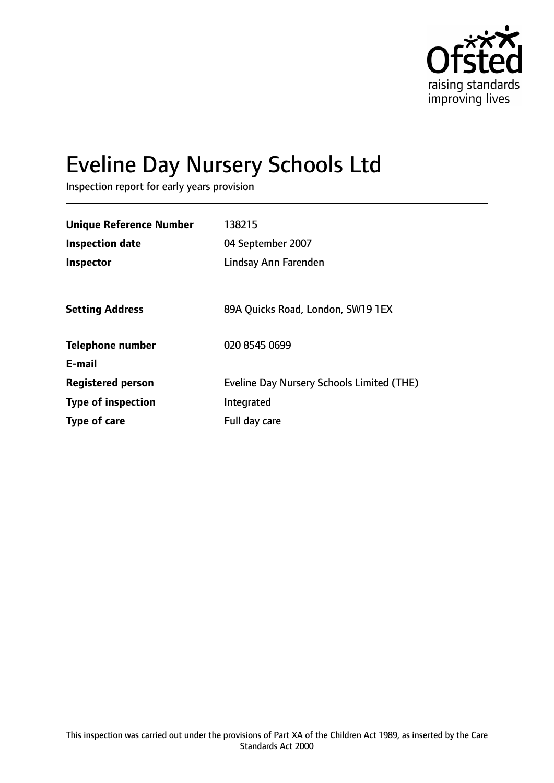

# Eveline Day Nursery Schools Ltd

Inspection report for early years provision

| <b>Unique Reference Number</b> | 138215                                           |
|--------------------------------|--------------------------------------------------|
| <b>Inspection date</b>         | 04 September 2007                                |
| Inspector                      | Lindsay Ann Farenden                             |
|                                |                                                  |
| <b>Setting Address</b>         | 89A Quicks Road, London, SW19 1EX                |
| <b>Telephone number</b>        | 020 8545 0699                                    |
| E-mail                         |                                                  |
| <b>Registered person</b>       | <b>Eveline Day Nursery Schools Limited (THE)</b> |
| <b>Type of inspection</b>      | Integrated                                       |
| Type of care                   | Full day care                                    |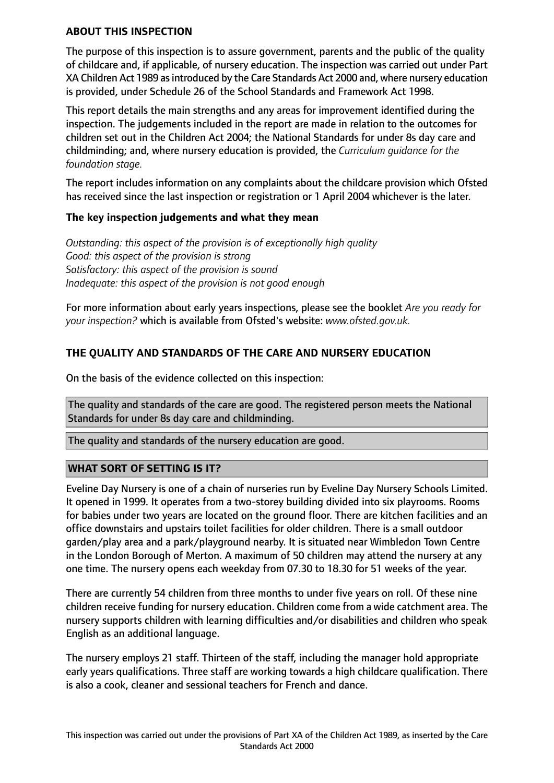#### **ABOUT THIS INSPECTION**

The purpose of this inspection is to assure government, parents and the public of the quality of childcare and, if applicable, of nursery education. The inspection was carried out under Part XA Children Act 1989 as introduced by the Care Standards Act 2000 and, where nursery education is provided, under Schedule 26 of the School Standards and Framework Act 1998.

This report details the main strengths and any areas for improvement identified during the inspection. The judgements included in the report are made in relation to the outcomes for children set out in the Children Act 2004; the National Standards for under 8s day care and childminding; and, where nursery education is provided, the *Curriculum guidance for the foundation stage.*

The report includes information on any complaints about the childcare provision which Ofsted has received since the last inspection or registration or 1 April 2004 whichever is the later.

## **The key inspection judgements and what they mean**

*Outstanding: this aspect of the provision is of exceptionally high quality Good: this aspect of the provision is strong Satisfactory: this aspect of the provision is sound Inadequate: this aspect of the provision is not good enough*

For more information about early years inspections, please see the booklet *Are you ready for your inspection?* which is available from Ofsted's website: *www.ofsted.gov.uk.*

## **THE QUALITY AND STANDARDS OF THE CARE AND NURSERY EDUCATION**

On the basis of the evidence collected on this inspection:

The quality and standards of the care are good. The registered person meets the National Standards for under 8s day care and childminding.

The quality and standards of the nursery education are good.

## **WHAT SORT OF SETTING IS IT?**

Eveline Day Nursery is one of a chain of nurseries run by Eveline Day Nursery Schools Limited. It opened in 1999. It operates from a two-storey building divided into six playrooms. Rooms for babies under two years are located on the ground floor. There are kitchen facilities and an office downstairs and upstairs toilet facilities for older children. There is a small outdoor garden/play area and a park/playground nearby. It is situated near Wimbledon Town Centre in the London Borough of Merton. A maximum of 50 children may attend the nursery at any one time. The nursery opens each weekday from 07.30 to 18.30 for 51 weeks of the year.

There are currently 54 children from three months to under five years on roll. Of these nine children receive funding for nursery education. Children come from a wide catchment area. The nursery supports children with learning difficulties and/or disabilities and children who speak English as an additional language.

The nursery employs 21 staff. Thirteen of the staff, including the manager hold appropriate early years qualifications. Three staff are working towards a high childcare qualification. There is also a cook, cleaner and sessional teachers for French and dance.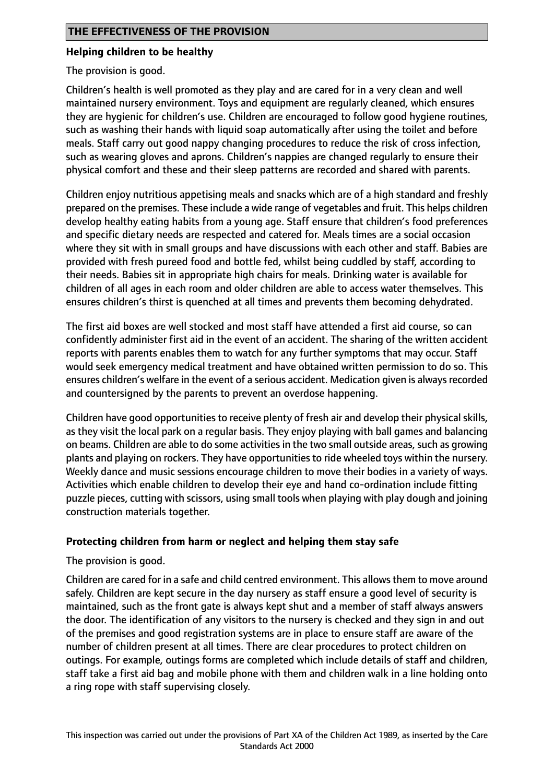## **Helping children to be healthy**

The provision is good.

Children's health is well promoted as they play and are cared for in a very clean and well maintained nursery environment. Toys and equipment are regularly cleaned, which ensures they are hygienic for children's use. Children are encouraged to follow good hygiene routines, such as washing their hands with liquid soap automatically after using the toilet and before meals. Staff carry out good nappy changing procedures to reduce the risk of cross infection, such as wearing gloves and aprons. Children's nappies are changed regularly to ensure their physical comfort and these and their sleep patterns are recorded and shared with parents.

Children enjoy nutritious appetising meals and snacks which are of a high standard and freshly prepared on the premises. These include a wide range of vegetables and fruit. This helps children develop healthy eating habits from a young age. Staff ensure that children's food preferences and specific dietary needs are respected and catered for. Meals times are a social occasion where they sit with in small groups and have discussions with each other and staff. Babies are provided with fresh pureed food and bottle fed, whilst being cuddled by staff, according to their needs. Babies sit in appropriate high chairs for meals. Drinking water is available for children of all ages in each room and older children are able to access water themselves. This ensures children's thirst is quenched at all times and prevents them becoming dehydrated.

The first aid boxes are well stocked and most staff have attended a first aid course, so can confidently administer first aid in the event of an accident. The sharing of the written accident reports with parents enables them to watch for any further symptoms that may occur. Staff would seek emergency medical treatment and have obtained written permission to do so. This ensures children's welfare in the event of a serious accident. Medication given is alwaysrecorded and countersigned by the parents to prevent an overdose happening.

Children have good opportunities to receive plenty of fresh air and develop their physical skills, as they visit the local park on a regular basis. They enjoy playing with ball games and balancing on beams. Children are able to do some activities in the two small outside areas, such as growing plants and playing on rockers. They have opportunities to ride wheeled toys within the nursery. Weekly dance and music sessions encourage children to move their bodies in a variety of ways. Activities which enable children to develop their eye and hand co-ordination include fitting puzzle pieces, cutting with scissors, using small tools when playing with play dough and joining construction materials together.

# **Protecting children from harm or neglect and helping them stay safe**

The provision is good.

Children are cared for in a safe and child centred environment. This allowsthem to move around safely. Children are kept secure in the day nursery as staff ensure a good level of security is maintained, such as the front gate is always kept shut and a member of staff always answers the door. The identification of any visitors to the nursery is checked and they sign in and out of the premises and good registration systems are in place to ensure staff are aware of the number of children present at all times. There are clear procedures to protect children on outings. For example, outings forms are completed which include details of staff and children, staff take a first aid bag and mobile phone with them and children walk in a line holding onto a ring rope with staff supervising closely.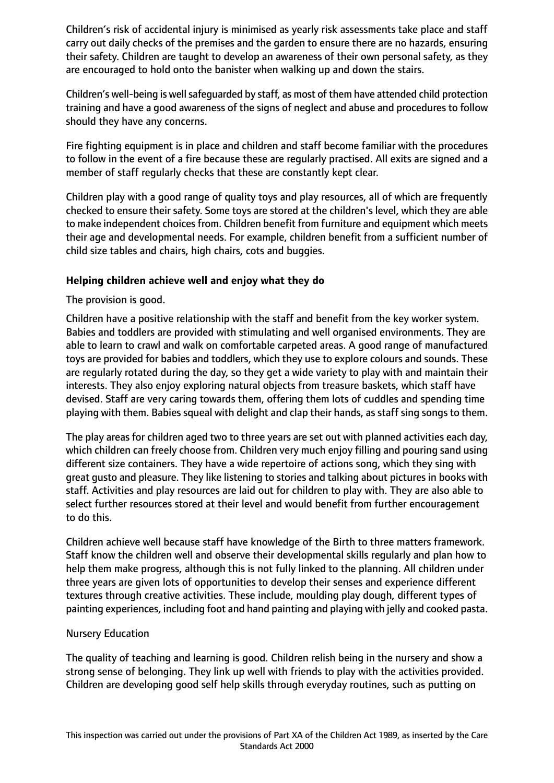Children's risk of accidental injury is minimised as yearly risk assessments take place and staff carry out daily checks of the premises and the garden to ensure there are no hazards, ensuring their safety. Children are taught to develop an awareness of their own personal safety, as they are encouraged to hold onto the banister when walking up and down the stairs.

Children's well-being is well safeguarded by staff, as most of them have attended child protection training and have a good awareness of the signs of neglect and abuse and procedures to follow should they have any concerns.

Fire fighting equipment is in place and children and staff become familiar with the procedures to follow in the event of a fire because these are regularly practised. All exits are signed and a member of staff regularly checks that these are constantly kept clear.

Children play with a good range of quality toys and play resources, all of which are frequently checked to ensure their safety. Some toys are stored at the children's level, which they are able to make independent choices from. Children benefit from furniture and equipment which meets their age and developmental needs. For example, children benefit from a sufficient number of child size tables and chairs, high chairs, cots and buggies.

## **Helping children achieve well and enjoy what they do**

The provision is good.

Children have a positive relationship with the staff and benefit from the key worker system. Babies and toddlers are provided with stimulating and well organised environments. They are able to learn to crawl and walk on comfortable carpeted areas. A good range of manufactured toys are provided for babies and toddlers, which they use to explore colours and sounds. These are regularly rotated during the day, so they get a wide variety to play with and maintain their interests. They also enjoy exploring natural objects from treasure baskets, which staff have devised. Staff are very caring towards them, offering them lots of cuddles and spending time playing with them. Babies squeal with delight and clap their hands, as staff sing songs to them.

The play areas for children aged two to three years are set out with planned activities each day, which children can freely choose from. Children very much enjoy filling and pouring sand using different size containers. They have a wide repertoire of actions song, which they sing with great gusto and pleasure. They like listening to stories and talking about pictures in books with staff. Activities and play resources are laid out for children to play with. They are also able to select further resources stored at their level and would benefit from further encouragement to do this.

Children achieve well because staff have knowledge of the Birth to three matters framework. Staff know the children well and observe their developmental skills regularly and plan how to help them make progress, although this is not fully linked to the planning. All children under three years are given lots of opportunities to develop their senses and experience different textures through creative activities. These include, moulding play dough, different types of painting experiences, including foot and hand painting and playing with jelly and cooked pasta.

## Nursery Education

The quality of teaching and learning is good. Children relish being in the nursery and show a strong sense of belonging. They link up well with friends to play with the activities provided. Children are developing good self help skills through everyday routines, such as putting on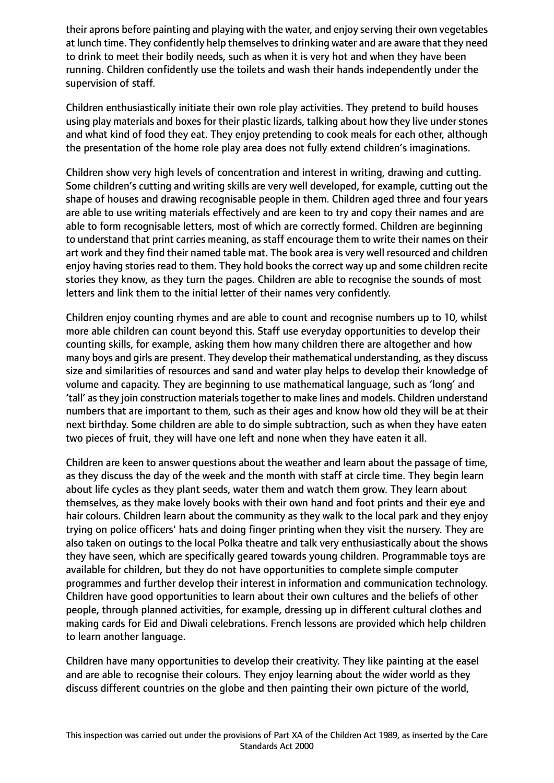their aprons before painting and playing with the water, and enjoy serving their own vegetables at lunch time. They confidently help themselves to drinking water and are aware that they need to drink to meet their bodily needs, such as when it is very hot and when they have been running. Children confidently use the toilets and wash their hands independently under the supervision of staff.

Children enthusiastically initiate their own role play activities. They pretend to build houses using play materials and boxes for their plastic lizards, talking about how they live under stones and what kind of food they eat. They enjoy pretending to cook meals for each other, although the presentation of the home role play area does not fully extend children's imaginations.

Children show very high levels of concentration and interest in writing, drawing and cutting. Some children's cutting and writing skills are very well developed, for example, cutting out the shape of houses and drawing recognisable people in them. Children aged three and four years are able to use writing materials effectively and are keen to try and copy their names and are able to form recognisable letters, most of which are correctly formed. Children are beginning to understand that print carries meaning, as staff encourage them to write their names on their art work and they find their named table mat. The book area is very well resourced and children enjoy having stories read to them. They hold books the correct way up and some children recite stories they know, as they turn the pages. Children are able to recognise the sounds of most letters and link them to the initial letter of their names very confidently.

Children enjoy counting rhymes and are able to count and recognise numbers up to 10, whilst more able children can count beyond this. Staff use everyday opportunities to develop their counting skills, for example, asking them how many children there are altogether and how many boys and girls are present. They develop their mathematical understanding, asthey discuss size and similarities of resources and sand and water play helps to develop their knowledge of volume and capacity. They are beginning to use mathematical language, such as 'long' and 'tall' as they join construction materials together to make lines and models. Children understand numbers that are important to them, such as their ages and know how old they will be at their next birthday. Some children are able to do simple subtraction, such as when they have eaten two pieces of fruit, they will have one left and none when they have eaten it all.

Children are keen to answer questions about the weather and learn about the passage of time, as they discuss the day of the week and the month with staff at circle time. They begin learn about life cycles as they plant seeds, water them and watch them grow. They learn about themselves, as they make lovely books with their own hand and foot prints and their eye and hair colours. Children learn about the community as they walk to the local park and they enjoy trying on police officers' hats and doing finger printing when they visit the nursery. They are also taken on outings to the local Polka theatre and talk very enthusiastically about the shows they have seen, which are specifically geared towards young children. Programmable toys are available for children, but they do not have opportunities to complete simple computer programmes and further develop their interest in information and communication technology. Children have good opportunities to learn about their own cultures and the beliefs of other people, through planned activities, for example, dressing up in different cultural clothes and making cards for Eid and Diwali celebrations. French lessons are provided which help children to learn another language.

Children have many opportunities to develop their creativity. They like painting at the easel and are able to recognise their colours. They enjoy learning about the wider world as they discuss different countries on the globe and then painting their own picture of the world,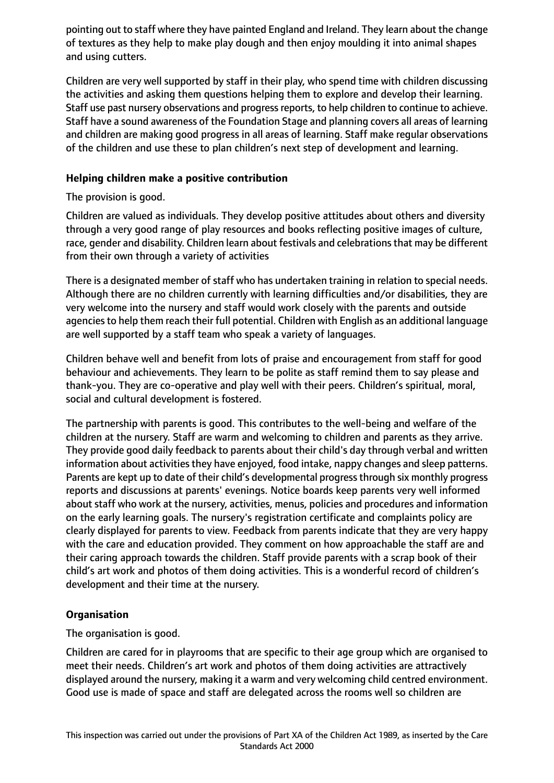pointing out to staff where they have painted England and Ireland. They learn about the change of textures as they help to make play dough and then enjoy moulding it into animal shapes and using cutters.

Children are very well supported by staff in their play, who spend time with children discussing the activities and asking them questions helping them to explore and develop their learning. Staff use past nursery observations and progress reports, to help children to continue to achieve. Staff have a sound awareness of the Foundation Stage and planning covers all areas of learning and children are making good progress in all areas of learning. Staff make regular observations of the children and use these to plan children's next step of development and learning.

## **Helping children make a positive contribution**

The provision is good.

Children are valued as individuals. They develop positive attitudes about others and diversity through a very good range of play resources and books reflecting positive images of culture, race, gender and disability. Children learn about festivals and celebrationsthat may be different from their own through a variety of activities

There is a designated member of staff who has undertaken training in relation to special needs. Although there are no children currently with learning difficulties and/or disabilities, they are very welcome into the nursery and staff would work closely with the parents and outside agencies to help them reach their full potential. Children with English as an additional language are well supported by a staff team who speak a variety of languages.

Children behave well and benefit from lots of praise and encouragement from staff for good behaviour and achievements. They learn to be polite as staff remind them to say please and thank-you. They are co-operative and play well with their peers. Children's spiritual, moral, social and cultural development is fostered.

The partnership with parents is good. This contributes to the well-being and welfare of the children at the nursery. Staff are warm and welcoming to children and parents as they arrive. They provide good daily feedback to parents about their child's day through verbal and written information about activities they have enjoyed, food intake, nappy changes and sleep patterns. Parents are kept up to date of their child's developmental progress through six monthly progress reports and discussions at parents' evenings. Notice boards keep parents very well informed about staff who work at the nursery, activities, menus, policies and procedures and information on the early learning goals. The nursery's registration certificate and complaints policy are clearly displayed for parents to view. Feedback from parents indicate that they are very happy with the care and education provided. They comment on how approachable the staff are and their caring approach towards the children. Staff provide parents with a scrap book of their child's art work and photos of them doing activities. This is a wonderful record of children's development and their time at the nursery.

# **Organisation**

The organisation is good.

Children are cared for in playrooms that are specific to their age group which are organised to meet their needs. Children's art work and photos of them doing activities are attractively displayed around the nursery, making it a warm and very welcoming child centred environment. Good use is made of space and staff are delegated across the rooms well so children are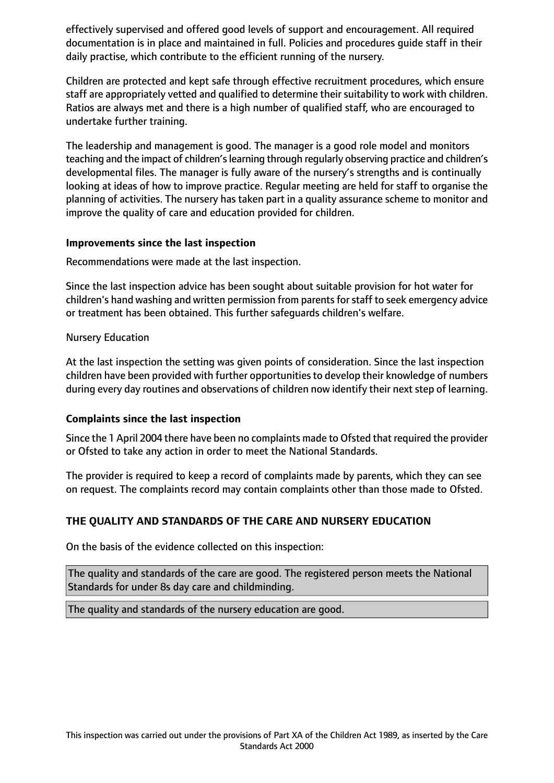effectively supervised and offered good levels of support and encouragement. All required documentation is in place and maintained in full. Policies and procedures guide staff in their daily practise, which contribute to the efficient running of the nursery.

Children are protected and kept safe through effective recruitment procedures, which ensure staff are appropriately vetted and qualified to determine their suitability to work with children. Ratios are always met and there is a high number of qualified staff, who are encouraged to undertake further training.

The leadership and management is good. The manager is a good role model and monitors teaching and the impact of children's learning through regularly observing practice and children's developmental files. The manager is fully aware of the nursery's strengths and is continually looking at ideas of how to improve practice. Regular meeting are held for staff to organise the planning of activities. The nursery has taken part in a quality assurance scheme to monitor and improve the quality of care and education provided for children.

#### **Improvements since the last inspection**

Recommendations were made at the last inspection.

Since the last inspection advice has been sought about suitable provision for hot water for children's hand washing and written permission from parents for staff to seek emergency advice or treatment has been obtained. This further safeguards children's welfare.

#### Nursery Education

At the last inspection the setting was given points of consideration. Since the last inspection children have been provided with further opportunitiesto develop their knowledge of numbers during every day routines and observations of children now identify their next step of learning.

#### **Complaints since the last inspection**

Since the 1 April 2004 there have been no complaints made to Ofsted that required the provider or Ofsted to take any action in order to meet the National Standards.

The provider is required to keep a record of complaints made by parents, which they can see on request. The complaints record may contain complaints other than those made to Ofsted.

## **THE QUALITY AND STANDARDS OF THE CARE AND NURSERY EDUCATION**

On the basis of the evidence collected on this inspection:

The quality and standards of the care are good. The registered person meets the National Standards for under 8s day care and childminding.

The quality and standards of the nursery education are good.